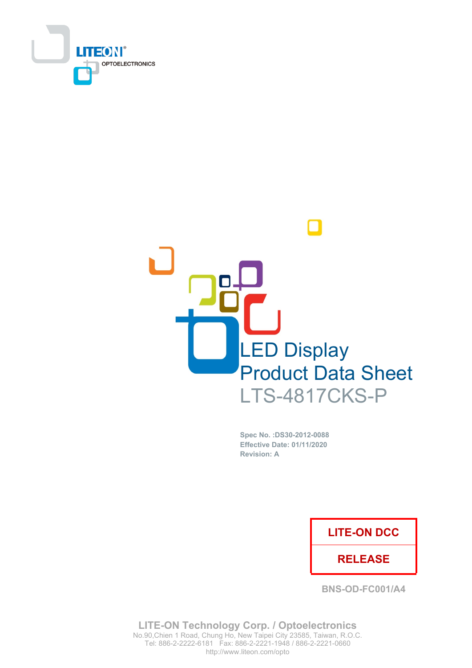



Spec No. : DS30-2012-0088 **Effective Date: 01/11/2020 Revision: A** 

### **LITE-ON DCC**

### **RELEASE**

**BNS-OD-FC001/A4** 

**LITE-ON Technology Corp. / Optoelectronics** No.90, Chien 1 Road, Chung Ho, New Taipei City 23585, Taiwan, R.O.C. Tel: 886-2-2222-6181 Fax: 886-2-2221-1948 / 886-2-2221-0660 http://www.liteon.com/opto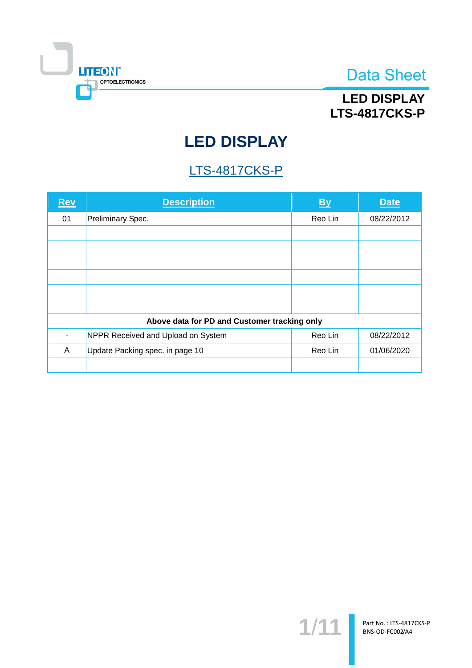

## **LED DISPLAY LTS-4817CKS-P**

# **LED DISPLAY**

## **LTS-4817CKS-P**

| <b>Rev</b> | <b>Description</b>                           | <b>By</b> | <b>Date</b> |
|------------|----------------------------------------------|-----------|-------------|
| 01         | Preliminary Spec.                            | Reo Lin   | 08/22/2012  |
|            |                                              |           |             |
|            |                                              |           |             |
|            |                                              |           |             |
|            |                                              |           |             |
|            |                                              |           |             |
|            |                                              |           |             |
|            | Above data for PD and Customer tracking only |           |             |
|            | NPPR Received and Upload on System           | Reo Lin   | 08/22/2012  |
| A          | Update Packing spec. in page 10              | Reo Lin   | 01/06/2020  |
|            |                                              |           |             |

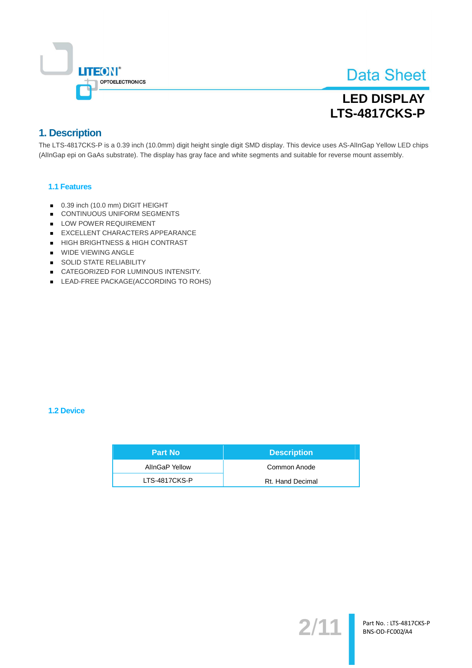

## **LED DISPLAY LTS-4817CKS-P**

### 1. Description

The LTS-4817CKS-P is a 0.39 inch (10.0mm) digit height single digit SMD display. This device uses AS-AllnGap Yellow LED chips (AllnGap epi on GaAs substrate). The display has gray face and white segments and suitable for reverse mount assembly.

#### 1.1 Features

- 0.39 inch (10.0 mm) DIGIT HEIGHT
- CONTINUOUS UNIFORM SEGMENTS
- LOW POWER REQUIREMENT
- EXCELLENT CHARACTERS APPEARANCE
- HIGH BRIGHTNESS & HIGH CONTRAST
- WIDE VIEWING ANGLE
- SOLID STATE RELIABILITY
- CATEGORIZED FOR LUMINOUS INTENSITY.
- LEAD-FREE PACKAGE(ACCORDING TO ROHS)

#### 1.2 Device

| <b>Part No</b> | <b>Description</b> |
|----------------|--------------------|
| AllnGaP Yellow | Common Anode       |
| LTS-4817CKS-P  | Rt. Hand Decimal   |

 $2/$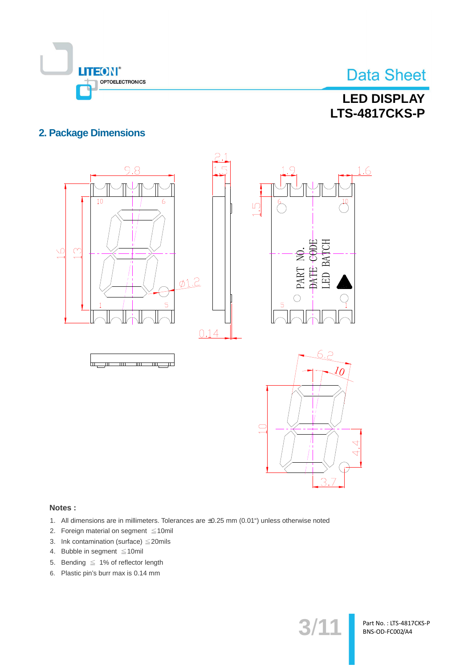

## **LED DISPLAY LTS-4817CKS-P**

### **2. Package Dimensions**



#### Notes:

- 1. All dimensions are in millimeters. Tolerances are ±0.25 mm (0.01") unless otherwise noted
- 2. Foreign material on segment ≤10mil
- 3. Ink contamination (surface)  $\leq$  20mils
- 4. Bubble in segment  $\leq 10$ mil
- 5. Bending  $\leq 1\%$  of reflector length
- 6. Plastic pin's burr max is 0.14 mm

 $3/1$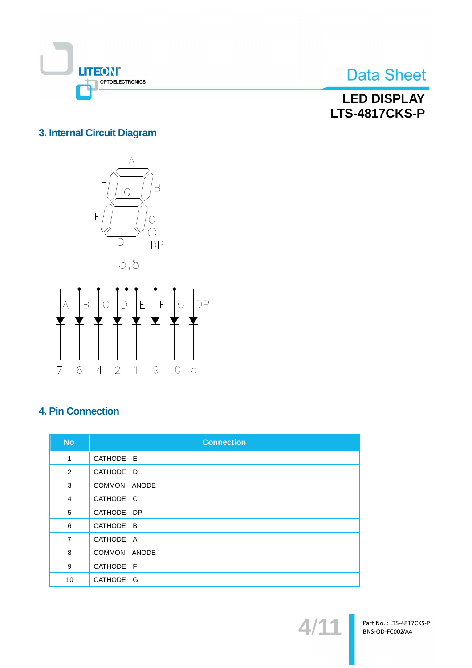

**LED DISPLAY LTS-4817CKS-P** 

### 3. Internal Circuit Diagram



### **4. Pin Connection**

| <b>No</b>      | <b>Connection</b> |
|----------------|-------------------|
| 1              | CATHODE E         |
| 2              | CATHODE D         |
| 3              | COMMON ANODE      |
| 4              | CATHODE C         |
| 5              | CATHODE DP        |
| 6              | CATHODE B         |
| $\overline{7}$ | CATHODE A         |
| 8              | COMMON ANODE      |
| 9              | CATHODE F         |
| 10             | CATHODE G         |

 $\blacktriangle$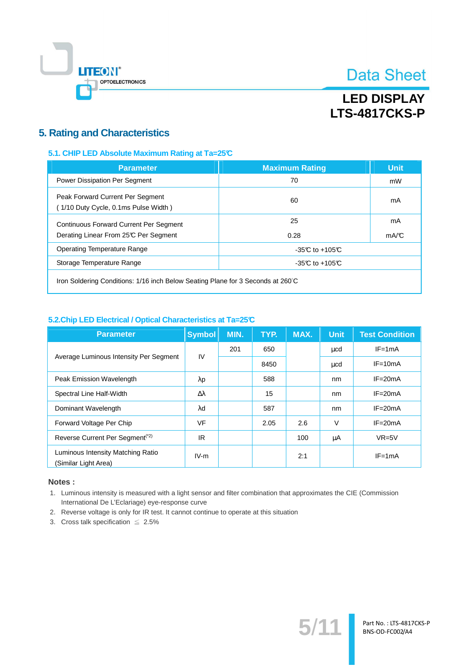

## **LED DISPLAY LTS-4817CKS-P**

### **5. Rating and Characteristics**

#### 5.1. CHIP LED Absolute Maximum Rating at Ta=25°C

| <b>Parameter</b>                                                                | <b>Maximum Rating</b> | <b>Unit</b> |  |  |
|---------------------------------------------------------------------------------|-----------------------|-------------|--|--|
| <b>Power Dissipation Per Segment</b>                                            | 70                    | mW          |  |  |
| Peak Forward Current Per Segment<br>(1/10 Duty Cycle, 0.1ms Pulse Width)        | 60                    | mA          |  |  |
| <b>Continuous Forward Current Per Segment</b>                                   | 25                    | mA          |  |  |
| Derating Linear From 25°C Per Segment                                           | 0.28                  | mA/C        |  |  |
| <b>Operating Temperature Range</b><br>$-35C$ to $+105C$                         |                       |             |  |  |
| Storage Temperature Range                                                       | $-35C$ to $+105C$     |             |  |  |
| Iron Soldering Conditions: 1/16 inch Below Seating Plane for 3 Seconds at 260°C |                       |             |  |  |

#### 5.2. Chip LED Electrical / Optical Characteristics at Ta=25°C

| <b>Parameter</b>                                          | <b>Symbol</b> | MIN. | TYP. | MAX. | <b>Unit</b> | <b>Test Condition</b> |
|-----------------------------------------------------------|---------------|------|------|------|-------------|-----------------------|
|                                                           | $\mathsf{IV}$ | 201  | 650  |      | ucd         | $IF = 1mA$            |
| Average Luminous Intensity Per Segment                    |               |      | 8450 |      | μcd         | $IF = 10mA$           |
| Peak Emission Wavelength                                  | λp            |      | 588  |      | nm          | $IF = 20mA$           |
| Spectral Line Half-Width                                  | Δλ            |      | 15   |      | nm          | $IF = 20mA$           |
| Dominant Wavelength                                       | $\lambda$ d   |      | 587  |      | nm          | $IF = 20mA$           |
| Forward Voltage Per Chip                                  | <b>VF</b>     |      | 2.05 | 2.6  | $\vee$      | $IF = 20mA$           |
| Reverse Current Per Segment <sup>(*2)</sup>               | <b>IR</b>     |      |      | 100  | μA          | $VR=5V$               |
| Luminous Intensity Matching Ratio<br>(Similar Light Area) | $IV-m$        |      |      | 2:1  |             | $IF = 1mA$            |

#### Notes:

1. Luminous intensity is measured with a light sensor and filter combination that approximates the CIE (Commission International De L'Eclariage) eye-response curve

 $5/$ 

- 2. Reverse voltage is only for IR test. It cannot continue to operate at this situation
- 3. Cross talk specification  $\leq 2.5\%$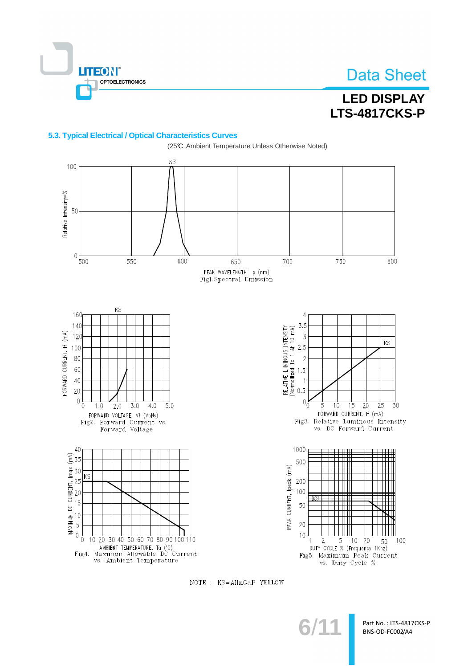

### **LED DISPLAY LTS-4817CKS-P**

#### 5.3. Typical Electrical / Optical Characteristics Curves



NOTE : KS=AllnGaP YELLOW

 $3/1$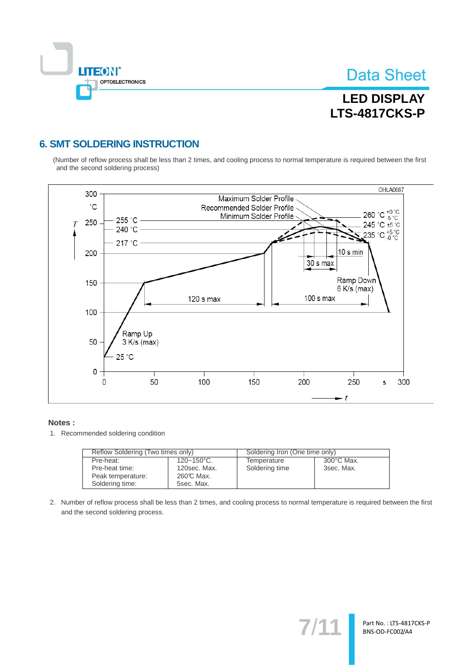

Part No.: LTS-4817CKS-P BNS-OD-FC002/A4

## **LED DISPLAY LTS-4817CKS-P**

### **6. SMT SOLDERING INSTRUCTION**

(Number of reflow process shall be less than 2 times, and cooling process to normal temperature is required between the first and the second soldering process)



#### Notes:

1. Recommended soldering condition

| Reflow Soldering (Two times only) |                        | Soldering Iron (One time only) |                      |  |
|-----------------------------------|------------------------|--------------------------------|----------------------|--|
| Pre-heat:                         | $120 - 150^{\circ}$ C. | Temperature                    | $300^{\circ}$ C Max. |  |
| Pre-heat time:                    | 120sec. Max.           | Soldering time                 | 3sec. Max.           |  |
| Peak temperature:                 | 260℃ Max.              |                                |                      |  |
| Soldering time:                   | 5sec. Max.             |                                |                      |  |

2. Number of reflow process shall be less than 2 times, and cooling process to normal temperature is required between the first and the second soldering process.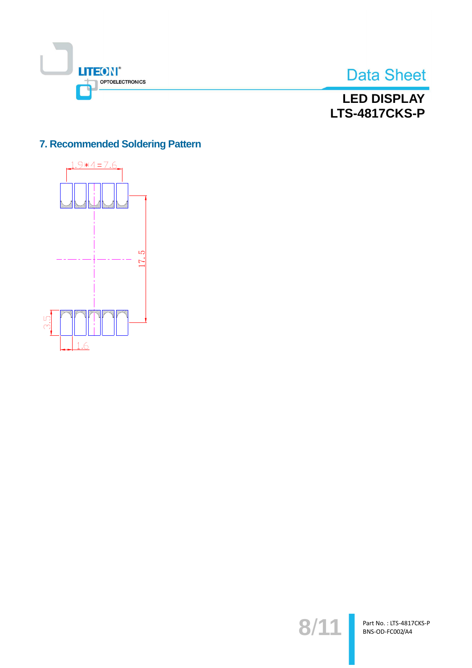



## **LED DISPLAY LTS-4817CKS-P**

### 7. Recommended Soldering Pattern



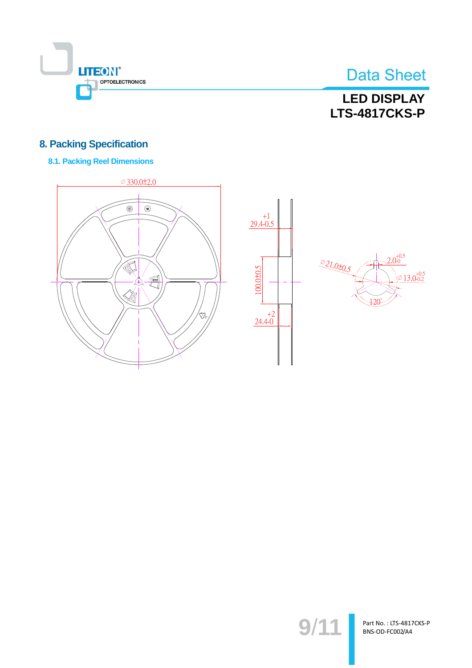

## **LED DISPLAY LTS-4817CKS-P**

### **8. Packing Specification**

### **8.1. Packing Reel Dimensions**







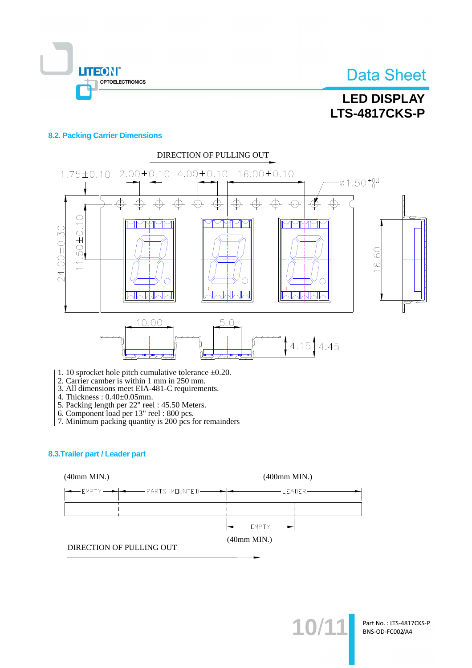

## **LED DISPLAY LTS-4817CKS-P**

#### **8.2. Packing Carrier Dimensions**



- 1. 10 sprocket hole pitch cumulative tolerance  $\pm 0.20$ .
- 2. Carrier camber is within 1 mm in 250 mm.<br>3. All dimensions meet EIA-481-C requirements.
- 
- 
- 
- 
- 4. Thickness :  $0.40\pm0.05$ mm.<br>
5. Packing length per 22" reel : 45.50 Meters.<br>
6. Component load per 13" reel : 800 pcs.<br>
7. Minimum packing quantity is 200 pcs for remainders

#### 8.3. Trailer part / Leader part



10